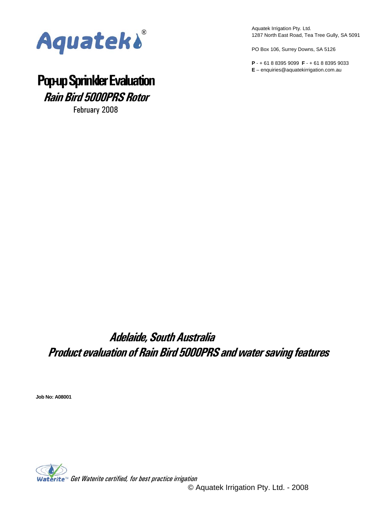

Aquatek Irrigation Pty. Ltd. 1287 North East Road, Tea Tree Gully, SA 5091

PO Box 106, Surrey Downs, SA 5126

**P** - + 61 8 8395 9099 **F** - + 61 8 8395 9033 **E** – enquiries@aquatekirrigation.com.au

# **Pop-up Sprinkler Evaluation Rain Bird 5000PRS Rotor**

February 2008

# **Adelaide, South Australia Product evaluation of Rain Bird 5000PRS and water saving features**

**Job No: A08001** 

Waterite<sup>M</sup> Get Waterite certified, for best practice irrigation

© Aquatek Irrigation Pty. Ltd. - 2008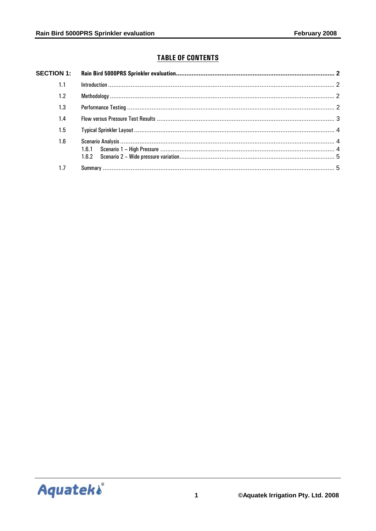# **TABLE OF CONTENTS**

| 1.1 |  |  |  |  |  |  |
|-----|--|--|--|--|--|--|
| 1.2 |  |  |  |  |  |  |
| 1.3 |  |  |  |  |  |  |
| 1.4 |  |  |  |  |  |  |
| 1.5 |  |  |  |  |  |  |
| 1.6 |  |  |  |  |  |  |
| 1.7 |  |  |  |  |  |  |

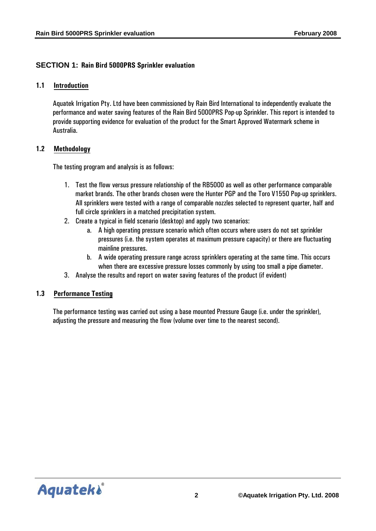# <span id="page-2-0"></span>**SECTION 1: Rain Bird 5000PRS Sprinkler evaluation**

#### **1.1 Introduction**

Aquatek Irrigation Pty. Ltd have been commissioned by Rain Bird International to independently evaluate the performance and water saving features of the Rain Bird 5000PRS Pop-up Sprinkler. This report is intended to provide supporting evidence for evaluation of the product for the Smart Approved Watermark scheme in Australia.

#### **1.2 Methodology**

The testing program and analysis is as follows:

- 1. Test the flow versus pressure relationship of the RB5000 as well as other performance comparable market brands. The other brands chosen were the Hunter PGP and the Toro V1550 Pop-up sprinklers. All sprinklers were tested with a range of comparable nozzles selected to represent quarter, half and full circle sprinklers in a matched precipitation system.
- 2. Create a typical in field scenario (desktop) and apply two scenarios:
	- a. A high operating pressure scenario which often occurs where users do not set sprinkler pressures (i.e. the system operates at maximum pressure capacity) or there are fluctuating mainline pressures.
	- b. A wide operating pressure range across sprinklers operating at the same time. This occurs when there are excessive pressure losses commonly by using too small a pipe diameter.
- 3. Analyse the results and report on water saving features of the product (if evident)

#### **1.3 Performance Testing**

The performance testing was carried out using a base mounted Pressure Gauge (i.e. under the sprinkler), adjusting the pressure and measuring the flow (volume over time to the nearest second).

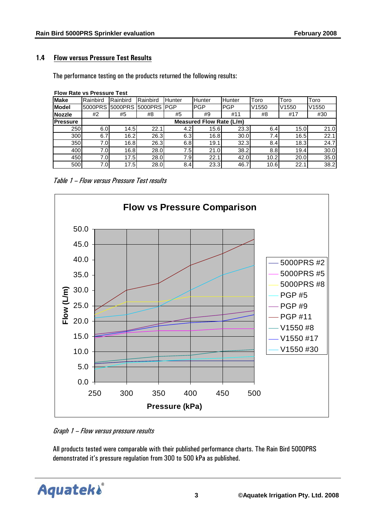# <span id="page-3-0"></span>**1.4 Flow versus Pressure Test Results**

The performance testing on the products returned the following results:

| <b>Flow Rate vs Pressure Test</b> |          |                                 |          |                  |            |            |       |                   |       |  |
|-----------------------------------|----------|---------------------------------|----------|------------------|------------|------------|-------|-------------------|-------|--|
| <b>Make</b>                       | Rainbird | Rainbird                        | Rainbird | Hunter           | Hunter     | Hunter     | Toro  | Toro              | Toro  |  |
| <b>Model</b>                      | 5000PRS  | <b>15000PRS</b>                 | 5000PRS  | <b>PGP</b>       | <b>PGP</b> | <b>PGP</b> | V1550 | V <sub>1550</sub> | V1550 |  |
| <b>Nozzle</b>                     | #2       | #5                              | #8       | #5               | #9         | #11        | #8    | #17               | #30   |  |
| <b>Pressure</b>                   |          | <b>Measured Flow Rate (L/m)</b> |          |                  |            |            |       |                   |       |  |
| 250                               | 6.0      | 14.5                            | 22.1     | 4.2 <sub>l</sub> | 15.6       | 23.3       | 6.4   | 15.0              | 21.0  |  |
| 300                               | 6.7      | 16.2                            | 26.3     | 6.3              | 16.8       | 30.0       | 7.4I  | 16.5              | 22.1  |  |
| 350                               | 7.0      | 16.8                            | 26.3     | 6.8              | 19.1       | 32.3       | 8.4   | 18.3              | 24.7  |  |
| 400                               | 7.0      | 16.8                            | 28.0     | 7.5              | 21.0       | 38.2       | 8.8   | 19.4              | 30.0  |  |
| 450                               | 7.0      | 17.5                            | 28.0     | 7.9              | 22.1       | 42.0       | 10.2  | 20.0              | 35.0  |  |
| 500                               | 7.0      | 17.5                            | 28.0     | 8.4              | 23.3       | 46.7       | 10.6  | 22.1              | 38.2  |  |

Table 1 – Flow versus Pressure Test results



Graph 1 – Flow versus pressure results

All products tested were comparable with their published performance charts. The Rain Bird 5000PRS demonstrated it's pressure regulation from 300 to 500 kPa as published.

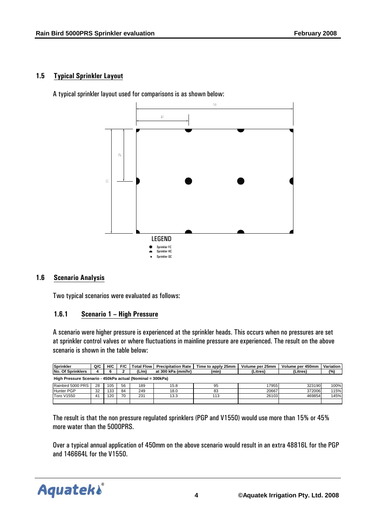# <span id="page-4-0"></span>**1.5 Typical Sprinkler Layout**

A typical sprinkler layout used for comparisons is as shown below:



#### **1.6 Scenario Analysis**

Two typical scenarios were evaluated as follows:

#### **1.6.1 Scenario 1 – High Pressure**

A scenario were higher pressure is experienced at the sprinkler heads. This occurs when no pressures are set at sprinkler control valves or where fluctuations in mainline pressure are experienced. The result on the above scenario is shown in the table below:

| Sprinkler                                                 | Q/C | H/C | F/C | <b>Total Flow</b> | <b>Precipitation Rate</b> | Time to apply 25mm | Volume per 25mm | Volume per 450mm | Variation |  |
|-----------------------------------------------------------|-----|-----|-----|-------------------|---------------------------|--------------------|-----------------|------------------|-----------|--|
| <b>No. Of Sprinklers</b>                                  |     |     |     | (L/m)             | at 300 kPa (mm/hr)        | (min)              | (Litres)        | (Litres)         | $(\%)$    |  |
| High Pressure Scenario - 450kPa actual (Nominal = 300kPa) |     |     |     |                   |                           |                    |                 |                  |           |  |
| Rainbird 5000 PRS I                                       | 28  | 105 | 56  | 189               | 15.8                      | 95                 | 17955           | 323190           | 100%      |  |
| <b>Hunter PGP</b>                                         | 32  | 133 | 84  | 249               | 18.0                      | 83                 | 20667           | 372006           | 115%      |  |
| <b>Toro V1550</b>                                         | 41  | 120 | 70  | 231               | 13.3                      | 113                | 26103           | 469854           | 145%      |  |
|                                                           |     |     |     |                   |                           |                    |                 |                  |           |  |

The result is that the non pressure regulated sprinklers (PGP and V1550) would use more than 15% or 45% more water than the 5000PRS.

Over a typical annual application of 450mm on the above scenario would result in an extra 48816L for the PGP and 146664L for the V1550.